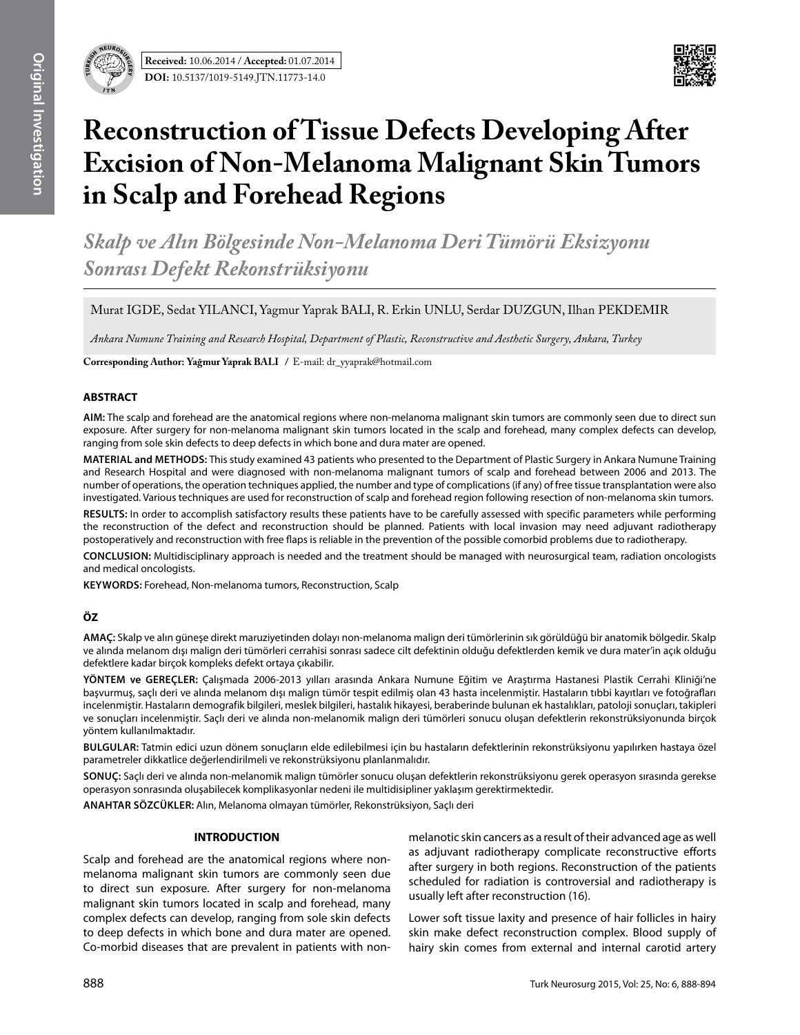

# **Reconstruction of Tissue Defects Developing After Excision of Non-Melanoma Malignant Skin Tumors in Scalp and Forehead Regions**

*Skalp ve Alın Bölgesinde Non-Melanoma Deri Tümörü Eksizyonu Sonrası Defekt Rekonstrüksiyonu*

Murat IGDE, Sedat YILANCI, Yagmur Yaprak BALI, R. Erkin UNLU, Serdar DUZGUN, Ilhan PEKDEMIR

*Ankara Numune Training and Research Hospital, Department of Plastic, Reconstructive and Aesthetic Surgery, Ankara, Turkey* 

**Corresponding Author: Yağmur Yaprak BALI /** E-mail: dr\_yyaprak@hotmail.com

# **ABSTRACT**

**AIm:** The scalp and forehead are the anatomical regions where non-melanoma malignant skin tumors are commonly seen due to direct sun exposure. After surgery for non-melanoma malignant skin tumors located in the scalp and forehead, many complex defects can develop, ranging from sole skin defects to deep defects in which bone and dura mater are opened.

**MaterIal and Methods:** This study examined 43 patients who presented to the Department of Plastic Surgery in Ankara Numune Training and Research Hospital and were diagnosed with non-melanoma malignant tumors of scalp and forehead between 2006 and 2013. The number of operations, the operation techniques applied, the number and type of complications (if any) of free tissue transplantation were also investigated. Various techniques are used for reconstruction of scalp and forehead region following resection of non-melanoma skin tumors.

**Results:** In order to accomplish satisfactory results these patients have to be carefully assessed with specific parameters while performing the reconstruction of the defect and reconstruction should be planned. Patients with local invasion may need adjuvant radiotherapy postoperatively and reconstruction with free flaps is reliable in the prevention of the possible comorbid problems due to radiotherapy.

**ConclusIon:** Multidisciplinary approach is needed and the treatment should be managed with neurosurgical team, radiation oncologists and medical oncologists.

**Keywords:** Forehead, Non-melanoma tumors, Reconstruction, Scalp

# **ÖZ**

**AMAÇ:** Skalp ve alın güneşe direkt maruziyetinden dolayı non-melanoma malign deri tümörlerinin sık görüldüğü bir anatomik bölgedir. Skalp ve alında melanom dışı malign deri tümörleri cerrahisi sonrası sadece cilt defektinin olduğu defektlerden kemik ve dura mater'in açık olduğu defektlere kadar birçok kompleks defekt ortaya çıkabilir.

**YÖNTEM ve GEREÇLER:** Çalışmada 2006-2013 yılları arasında Ankara Numune Eğitim ve Araştırma Hastanesi Plastik Cerrahi Kliniği'ne başvurmuş, saçlı deri ve alında melanom dışı malign tümör tespit edilmiş olan 43 hasta incelenmiştir. Hastaların tıbbi kayıtları ve fotoğrafları incelenmiştir. Hastaların demografik bilgileri, meslek bilgileri, hastalık hikayesi, beraberinde bulunan ek hastalıkları, patoloji sonuçları, takipleri ve sonuçları incelenmiştir. Saçlı deri ve alında non-melanomik malign deri tümörleri sonucu oluşan defektlerin rekonstrüksiyonunda birçok yöntem kullanılmaktadır.

**BULGULAR:** Tatmin edici uzun dönem sonuçların elde edilebilmesi için bu hastaların defektlerinin rekonstrüksiyonu yapılırken hastaya özel parametreler dikkatlice değerlendirilmeli ve rekonstrüksiyonu planlanmalıdır.

**SONUÇ:** Saçlı deri ve alında non-melanomik malign tümörler sonucu oluşan defektlerin rekonstrüksiyonu gerek operasyon sırasında gerekse operasyon sonrasında oluşabilecek komplikasyonlar nedeni ile multidisipliner yaklaşım gerektirmektedir.

**ANAHTAR SÖZCÜKLER:** Alın, Melanoma olmayan tümörler, Rekonstrüksiyon, Saçlı deri

## **INTRODUCTION**

Scalp and forehead are the anatomical regions where nonmelanoma malignant skin tumors are commonly seen due to direct sun exposure. After surgery for non-melanoma malignant skin tumors located in scalp and forehead, many complex defects can develop, ranging from sole skin defects to deep defects in which bone and dura mater are opened. Co-morbid diseases that are prevalent in patients with non-

melanotic skin cancers as a result of their advanced age as well as adjuvant radiotherapy complicate reconstructive efforts after surgery in both regions. Reconstruction of the patients scheduled for radiation is controversial and radiotherapy is usually left after reconstruction (16).

Lower soft tissue laxity and presence of hair follicles in hairy skin make defect reconstruction complex. Blood supply of hairy skin comes from external and internal carotid artery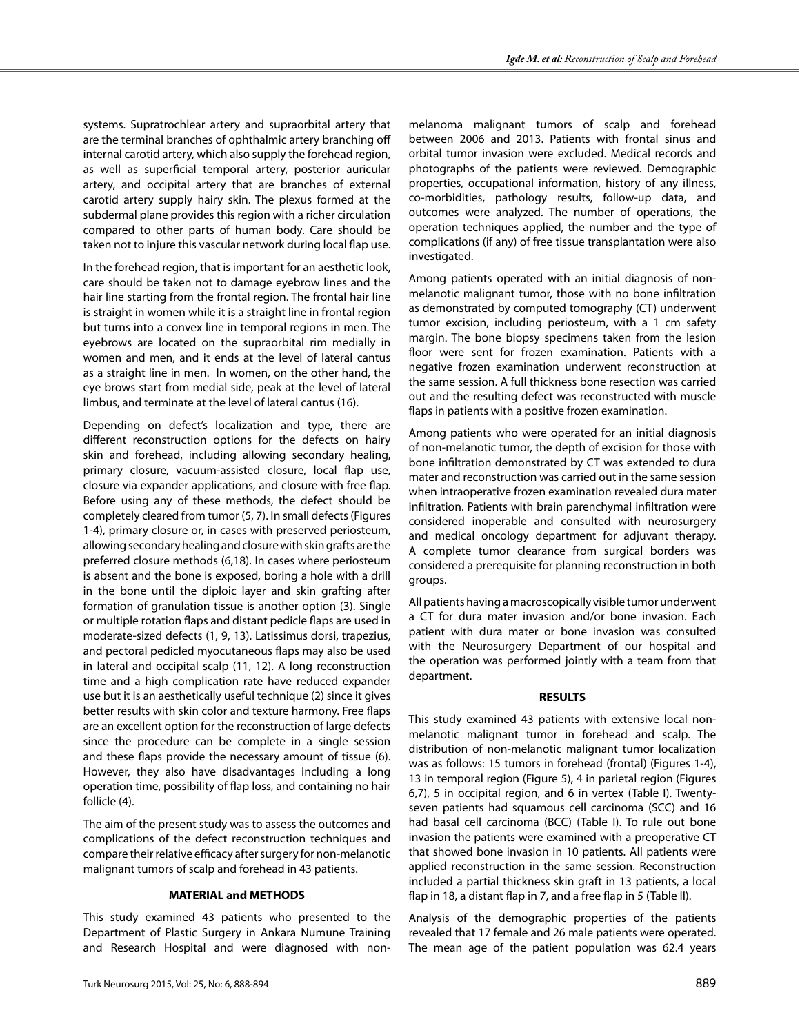systems. Supratrochlear artery and supraorbital artery that are the terminal branches of ophthalmic artery branching off internal carotid artery, which also supply the forehead region, as well as superficial temporal artery, posterior auricular artery, and occipital artery that are branches of external carotid artery supply hairy skin. The plexus formed at the subdermal plane provides this region with a richer circulation compared to other parts of human body. Care should be taken not to injure this vascular network during local flap use.

In the forehead region, that is important for an aesthetic look, care should be taken not to damage eyebrow lines and the hair line starting from the frontal region. The frontal hair line is straight in women while it is a straight line in frontal region but turns into a convex line in temporal regions in men. The eyebrows are located on the supraorbital rim medially in women and men, and it ends at the level of lateral cantus as a straight line in men. In women, on the other hand, the eye brows start from medial side, peak at the level of lateral limbus, and terminate at the level of lateral cantus (16).

Depending on defect's localization and type, there are different reconstruction options for the defects on hairy skin and forehead, including allowing secondary healing, primary closure, vacuum-assisted closure, local flap use, closure via expander applications, and closure with free flap. Before using any of these methods, the defect should be completely cleared from tumor (5, 7). In small defects (Figures 1-4), primary closure or, in cases with preserved periosteum, allowing secondary healing and closure with skin grafts are the preferred closure methods (6,18). In cases where periosteum is absent and the bone is exposed, boring a hole with a drill in the bone until the diploic layer and skin grafting after formation of granulation tissue is another option (3). Single or multiple rotation flaps and distant pedicle flaps are used in moderate-sized defects (1, 9, 13). Latissimus dorsi, trapezius, and pectoral pedicled myocutaneous flaps may also be used in lateral and occipital scalp (11, 12). A long reconstruction time and a high complication rate have reduced expander use but it is an aesthetically useful technique (2) since it gives better results with skin color and texture harmony. Free flaps are an excellent option for the reconstruction of large defects since the procedure can be complete in a single session and these flaps provide the necessary amount of tissue (6). However, they also have disadvantages including a long operation time, possibility of flap loss, and containing no hair follicle (4).

The aim of the present study was to assess the outcomes and complications of the defect reconstruction techniques and compare their relative efficacy after surgery for non-melanotic malignant tumors of scalp and forehead in 43 patients.

### **MATERIAL and METHODS**

This study examined 43 patients who presented to the Department of Plastic Surgery in Ankara Numune Training and Research Hospital and were diagnosed with non-

melanoma malignant tumors of scalp and forehead between 2006 and 2013. Patients with frontal sinus and orbital tumor invasion were excluded. Medical records and photographs of the patients were reviewed. Demographic properties, occupational information, history of any illness, co-morbidities, pathology results, follow-up data, and outcomes were analyzed. The number of operations, the operation techniques applied, the number and the type of complications (if any) of free tissue transplantation were also investigated.

Among patients operated with an initial diagnosis of nonmelanotic malignant tumor, those with no bone infiltration as demonstrated by computed tomography (CT) underwent tumor excision, including periosteum, with a 1 cm safety margin. The bone biopsy specimens taken from the lesion floor were sent for frozen examination. Patients with a negative frozen examination underwent reconstruction at the same session. A full thickness bone resection was carried out and the resulting defect was reconstructed with muscle flaps in patients with a positive frozen examination.

Among patients who were operated for an initial diagnosis of non-melanotic tumor, the depth of excision for those with bone infiltration demonstrated by CT was extended to dura mater and reconstruction was carried out in the same session when intraoperative frozen examination revealed dura mater infiltration. Patients with brain parenchymal infiltration were considered inoperable and consulted with neurosurgery and medical oncology department for adjuvant therapy. A complete tumor clearance from surgical borders was considered a prerequisite for planning reconstruction in both groups.

All patients having a macroscopically visible tumor underwent a CT for dura mater invasion and/or bone invasion. Each patient with dura mater or bone invasion was consulted with the Neurosurgery Department of our hospital and the operation was performed jointly with a team from that department.

#### **RESULTS**

This study examined 43 patients with extensive local nonmelanotic malignant tumor in forehead and scalp. The distribution of non-melanotic malignant tumor localization was as follows: 15 tumors in forehead (frontal) (Figures 1-4), 13 in temporal region (Figure 5), 4 in parietal region (Figures 6,7), 5 in occipital region, and 6 in vertex (Table I). Twentyseven patients had squamous cell carcinoma (SCC) and 16 had basal cell carcinoma (BCC) (Table I). To rule out bone invasion the patients were examined with a preoperative CT that showed bone invasion in 10 patients. All patients were applied reconstruction in the same session. Reconstruction included a partial thickness skin graft in 13 patients, a local flap in 18, a distant flap in 7, and a free flap in 5 (Table II).

Analysis of the demographic properties of the patients revealed that 17 female and 26 male patients were operated. The mean age of the patient population was 62.4 years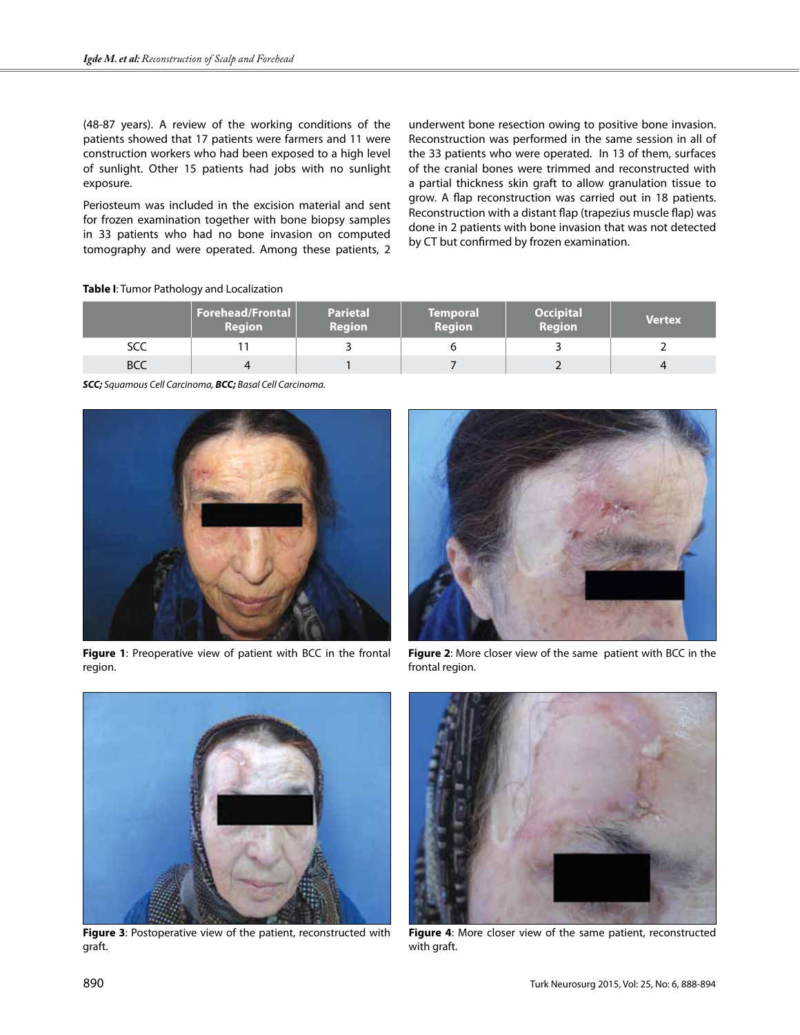(48-87 years). A review of the working conditions of the patients showed that 17 patients were farmers and 11 were construction workers who had been exposed to a high level of sunlight. Other 15 patients had jobs with no sunlight exposure.

Periosteum was included in the excision material and sent for frozen examination together with bone biopsy samples in 33 patients who had no bone invasion on computed tomography and were operated. Among these patients, 2 underwent bone resection owing to positive bone invasion. Reconstruction was performed in the same session in all of the 33 patients who were operated. In 13 of them, surfaces of the cranial bones were trimmed and reconstructed with a partial thickness skin graft to allow granulation tissue to grow. A flap reconstruction was carried out in 18 patients. Reconstruction with a distant flap (trapezius muscle flap) was done in 2 patients with bone invasion that was not detected by CT but confirmed by frozen examination.

## **Table I**: Tumor Pathology and Localization

|            | Forehead/Frontal<br><b>Region</b> | <b>Parietal</b><br><b>Region</b> | <b>Temporal</b><br><b>Region</b> | <b>Occipital</b><br><b>Region</b> | <b>Vertex</b> |
|------------|-----------------------------------|----------------------------------|----------------------------------|-----------------------------------|---------------|
| SCC        |                                   |                                  |                                  |                                   |               |
| <b>BCC</b> |                                   |                                  |                                  |                                   |               |

*SCC; Squamous Cell Carcinoma, BCC; Basal Cell Carcinoma.*



**Figure 1**: Preoperative view of patient with BCC in the frontal region.



**Figure 2**: More closer view of the same patient with BCC in the frontal region.



**Figure 3**: Postoperative view of the patient, reconstructed with graft.



**Figure 4**: More closer view of the same patient, reconstructed with graft.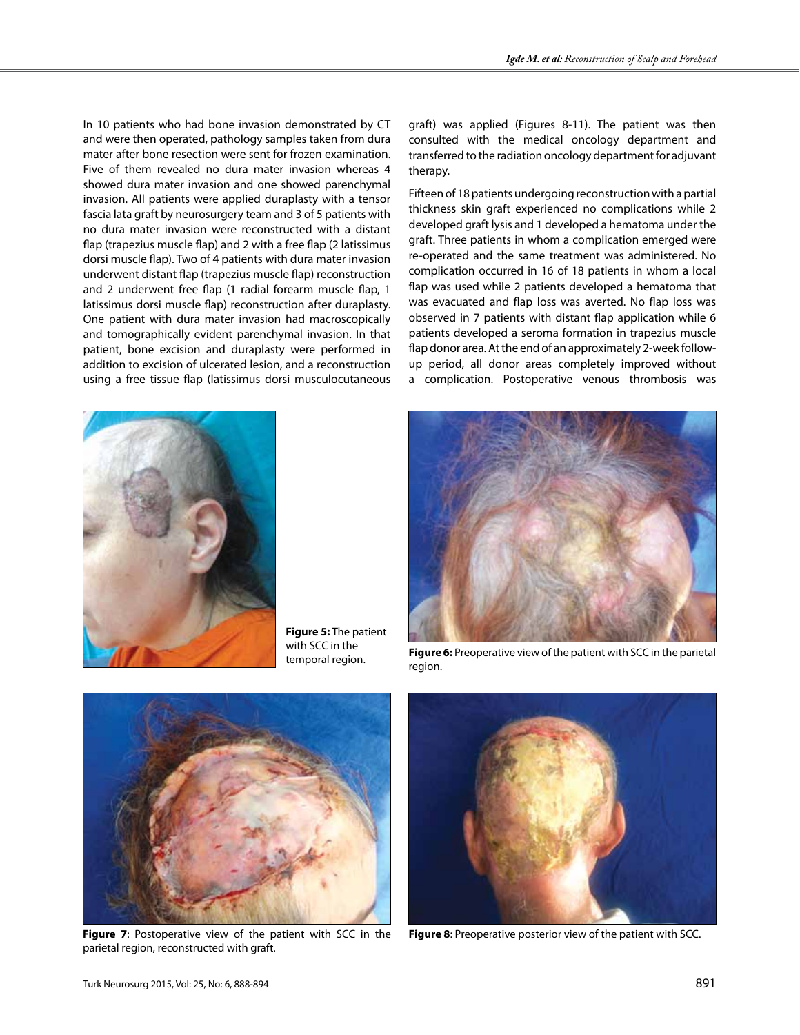In 10 patients who had bone invasion demonstrated by CT and were then operated, pathology samples taken from dura mater after bone resection were sent for frozen examination. Five of them revealed no dura mater invasion whereas 4 showed dura mater invasion and one showed parenchymal invasion. All patients were applied duraplasty with a tensor fascia lata graft by neurosurgery team and 3 of 5 patients with no dura mater invasion were reconstructed with a distant flap (trapezius muscle flap) and 2 with a free flap (2 latissimus dorsi muscle flap). Two of 4 patients with dura mater invasion underwent distant flap (trapezius muscle flap) reconstruction and 2 underwent free flap (1 radial forearm muscle flap, 1 latissimus dorsi muscle flap) reconstruction after duraplasty. One patient with dura mater invasion had macroscopically and tomographically evident parenchymal invasion. In that patient, bone excision and duraplasty were performed in addition to excision of ulcerated lesion, and a reconstruction using a free tissue flap (latissimus dorsi musculocutaneous



**Figure 5:** The patient with SCC in the temporal region.

graft) was applied (Figures 8-11). The patient was then consulted with the medical oncology department and transferred to the radiation oncology department for adjuvant therapy.

Fifteen of 18 patients undergoing reconstruction with a partial thickness skin graft experienced no complications while 2 developed graft lysis and 1 developed a hematoma under the graft. Three patients in whom a complication emerged were re-operated and the same treatment was administered. No complication occurred in 16 of 18 patients in whom a local flap was used while 2 patients developed a hematoma that was evacuated and flap loss was averted. No flap loss was observed in 7 patients with distant flap application while 6 patients developed a seroma formation in trapezius muscle flap donor area. At the end of an approximately 2-week followup period, all donor areas completely improved without a complication. Postoperative venous thrombosis was



**Figure 6:** Preoperative view of the patient with SCC in the parietal region.



parietal region, reconstructed with graft.



**Figure 7**: Postoperative view of the patient with SCC in the **Figure 8**: Preoperative posterior view of the patient with SCC.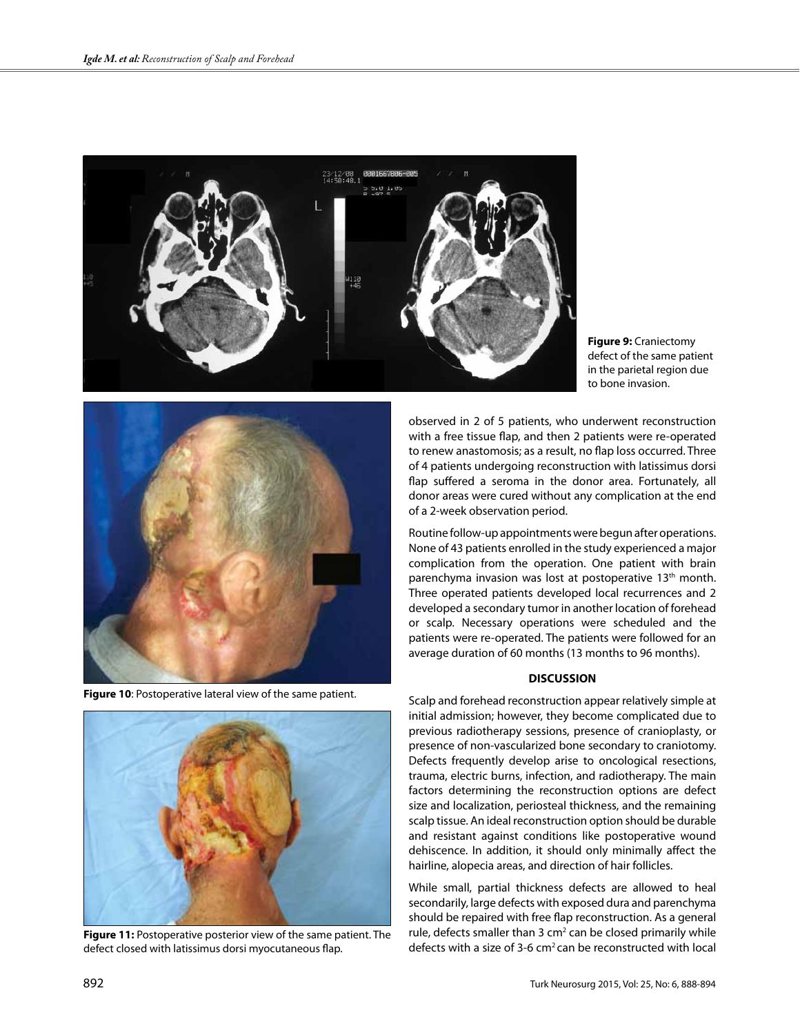

**Figure 9:** Craniectomy defect of the same patient in the parietal region due to bone invasion.



**Figure 10**: Postoperative lateral view of the same patient.



**Figure 11:** Postoperative posterior view of the same patient. The defect closed with latissimus dorsi myocutaneous flap.

observed in 2 of 5 patients, who underwent reconstruction with a free tissue flap, and then 2 patients were re-operated to renew anastomosis; as a result, no flap loss occurred. Three of 4 patients undergoing reconstruction with latissimus dorsi flap suffered a seroma in the donor area. Fortunately, all donor areas were cured without any complication at the end of a 2-week observation period.

Routine follow-up appointments were begun after operations. None of 43 patients enrolled in the study experienced a major complication from the operation. One patient with brain parenchyma invasion was lost at postoperative 13<sup>th</sup> month. Three operated patients developed local recurrences and 2 developed a secondary tumor in another location of forehead or scalp. Necessary operations were scheduled and the patients were re-operated. The patients were followed for an average duration of 60 months (13 months to 96 months).

# **DISCUSSION**

Scalp and forehead reconstruction appear relatively simple at initial admission; however, they become complicated due to previous radiotherapy sessions, presence of cranioplasty, or presence of non-vascularized bone secondary to craniotomy. Defects frequently develop arise to oncological resections, trauma, electric burns, infection, and radiotherapy. The main factors determining the reconstruction options are defect size and localization, periosteal thickness, and the remaining scalp tissue. An ideal reconstruction option should be durable and resistant against conditions like postoperative wound dehiscence. In addition, it should only minimally affect the hairline, alopecia areas, and direction of hair follicles.

While small, partial thickness defects are allowed to heal secondarily, large defects with exposed dura and parenchyma should be repaired with free flap reconstruction. As a general rule, defects smaller than 3  $cm<sup>2</sup>$  can be closed primarily while defects with a size of 3-6 cm2 can be reconstructed with local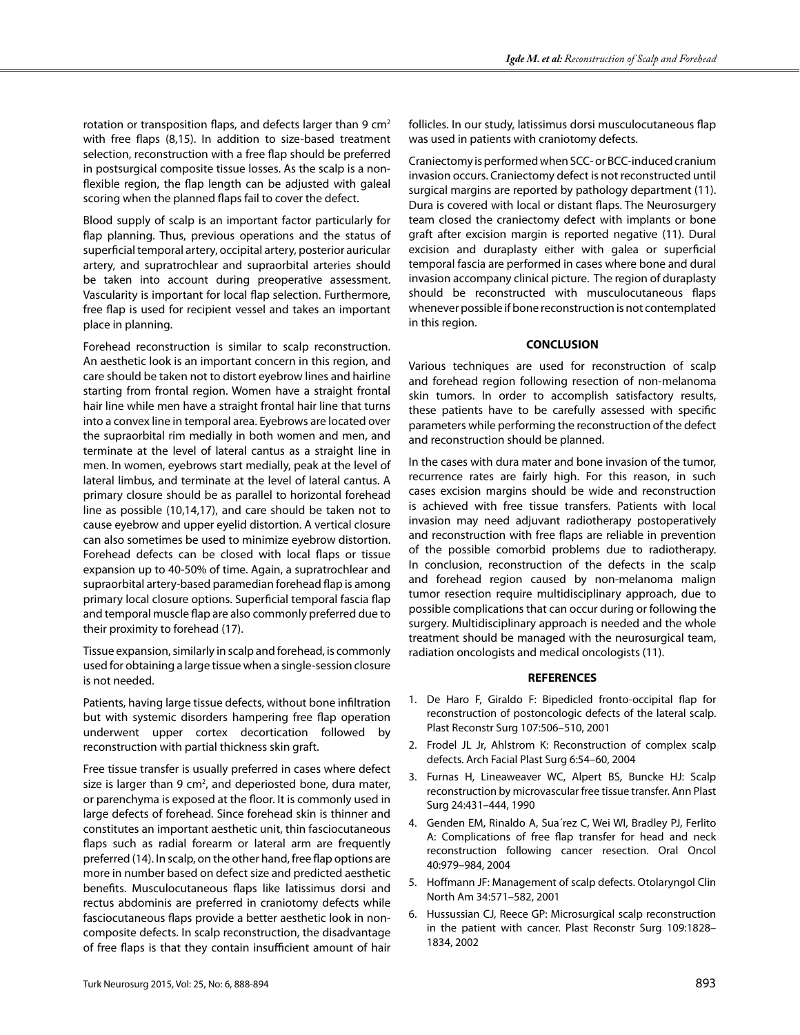rotation or transposition flaps, and defects larger than 9  $cm<sup>2</sup>$ with free flaps (8,15). In addition to size-based treatment selection, reconstruction with a free flap should be preferred in postsurgical composite tissue losses. As the scalp is a nonflexible region, the flap length can be adjusted with galeal scoring when the planned flaps fail to cover the defect.

Blood supply of scalp is an important factor particularly for flap planning. Thus, previous operations and the status of superficial temporal artery, occipital artery, posterior auricular artery, and supratrochlear and supraorbital arteries should be taken into account during preoperative assessment. Vascularity is important for local flap selection. Furthermore, free flap is used for recipient vessel and takes an important place in planning.

Forehead reconstruction is similar to scalp reconstruction. An aesthetic look is an important concern in this region, and care should be taken not to distort eyebrow lines and hairline starting from frontal region. Women have a straight frontal hair line while men have a straight frontal hair line that turns into a convex line in temporal area. Eyebrows are located over the supraorbital rim medially in both women and men, and terminate at the level of lateral cantus as a straight line in men. In women, eyebrows start medially, peak at the level of lateral limbus, and terminate at the level of lateral cantus. A primary closure should be as parallel to horizontal forehead line as possible (10,14,17), and care should be taken not to cause eyebrow and upper eyelid distortion. A vertical closure can also sometimes be used to minimize eyebrow distortion. Forehead defects can be closed with local flaps or tissue expansion up to 40-50% of time. Again, a supratrochlear and supraorbital artery-based paramedian forehead flap is among primary local closure options. Superficial temporal fascia flap and temporal muscle flap are also commonly preferred due to their proximity to forehead (17).

Tissue expansion, similarly in scalp and forehead, is commonly used for obtaining a large tissue when a single-session closure is not needed.

Patients, having large tissue defects, without bone infiltration but with systemic disorders hampering free flap operation underwent upper cortex decortication followed by reconstruction with partial thickness skin graft.

Free tissue transfer is usually preferred in cases where defect size is larger than 9 cm<sup>2</sup>, and deperiosted bone, dura mater, or parenchyma is exposed at the floor. It is commonly used in large defects of forehead. Since forehead skin is thinner and constitutes an important aesthetic unit, thin fasciocutaneous flaps such as radial forearm or lateral arm are frequently preferred (14). In scalp, on the other hand, free flap options are more in number based on defect size and predicted aesthetic benefits. Musculocutaneous flaps like latissimus dorsi and rectus abdominis are preferred in craniotomy defects while fasciocutaneous flaps provide a better aesthetic look in noncomposite defects. In scalp reconstruction, the disadvantage of free flaps is that they contain insufficient amount of hair follicles. In our study, latissimus dorsi musculocutaneous flap was used in patients with craniotomy defects.

Craniectomy is performed when SCC- or BCC-induced cranium invasion occurs. Craniectomy defect is not reconstructed until surgical margins are reported by pathology department (11). Dura is covered with local or distant flaps. The Neurosurgery team closed the craniectomy defect with implants or bone graft after excision margin is reported negative (11). Dural excision and duraplasty either with galea or superficial temporal fascia are performed in cases where bone and dural invasion accompany clinical picture. The region of duraplasty should be reconstructed with musculocutaneous flaps whenever possible if bone reconstruction is not contemplated in this region.

# **CONCLUSION**

Various techniques are used for reconstruction of scalp and forehead region following resection of non-melanoma skin tumors. In order to accomplish satisfactory results, these patients have to be carefully assessed with specific parameters while performing the reconstruction of the defect and reconstruction should be planned.

In the cases with dura mater and bone invasion of the tumor, recurrence rates are fairly high. For this reason, in such cases excision margins should be wide and reconstruction is achieved with free tissue transfers. Patients with local invasion may need adjuvant radiotherapy postoperatively and reconstruction with free flaps are reliable in prevention of the possible comorbid problems due to radiotherapy. In conclusion, reconstruction of the defects in the scalp and forehead region caused by non-melanoma malign tumor resection require multidisciplinary approach, due to possible complications that can occur during or following the surgery. Multidisciplinary approach is needed and the whole treatment should be managed with the neurosurgical team, radiation oncologists and medical oncologists (11).

## **REFERENCES**

- 1. De Haro F, Giraldo F: Bipedicled fronto-occipital flap for reconstruction of postoncologic defects of the lateral scalp. Plast Reconstr Surg 107:506–510, 2001
- 2. Frodel JL Jr, Ahlstrom K: Reconstruction of complex scalp defects. Arch Facial Plast Surg 6:54–60, 2004
- 3. Furnas H, Lineaweaver WC, Alpert BS, Buncke HJ: Scalp reconstruction by microvascular free tissue transfer. Ann Plast Surg 24:431–444, 1990
- 4. Genden EM, Rinaldo A, Sua´rez C, Wei WI, Bradley PJ, Ferlito A: Complications of free flap transfer for head and neck reconstruction following cancer resection. Oral Oncol 40:979–984, 2004
- 5. Hoffmann JF: Management of scalp defects. Otolaryngol Clin North Am 34:571–582, 2001
- 6. Hussussian CJ, Reece GP: Microsurgical scalp reconstruction in the patient with cancer. Plast Reconstr Surg 109:1828– 1834, 2002